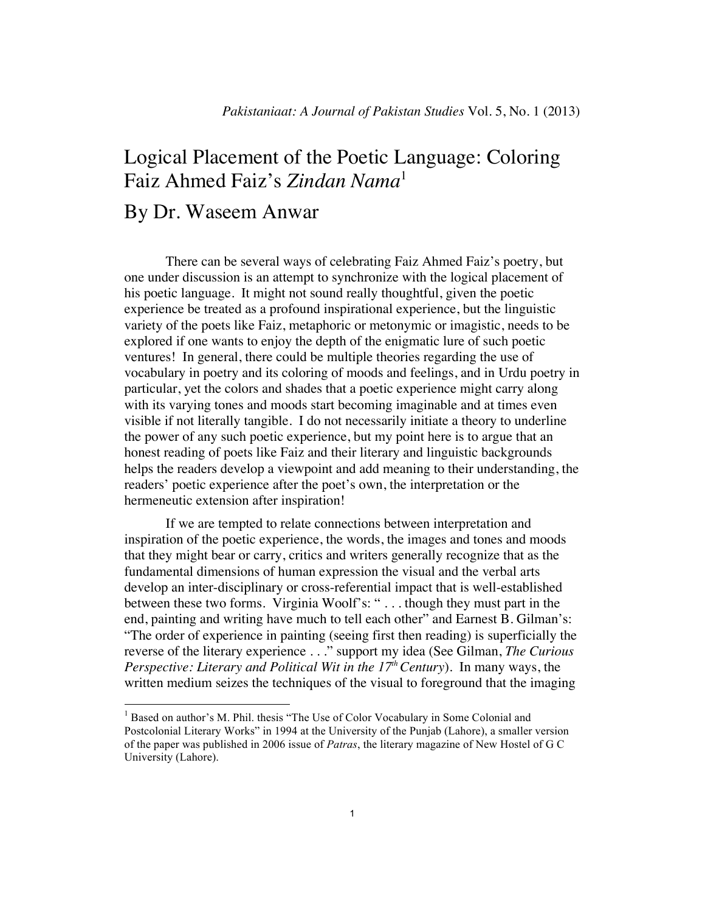## Logical Placement of the Poetic Language: Coloring Faiz Ahmed Faiz's *Zindan Nama*<sup>1</sup>

## By Dr. Waseem Anwar

There can be several ways of celebrating Faiz Ahmed Faiz's poetry, but one under discussion is an attempt to synchronize with the logical placement of his poetic language. It might not sound really thoughtful, given the poetic experience be treated as a profound inspirational experience, but the linguistic variety of the poets like Faiz, metaphoric or metonymic or imagistic, needs to be explored if one wants to enjoy the depth of the enigmatic lure of such poetic ventures! In general, there could be multiple theories regarding the use of vocabulary in poetry and its coloring of moods and feelings, and in Urdu poetry in particular, yet the colors and shades that a poetic experience might carry along with its varying tones and moods start becoming imaginable and at times even visible if not literally tangible. I do not necessarily initiate a theory to underline the power of any such poetic experience, but my point here is to argue that an honest reading of poets like Faiz and their literary and linguistic backgrounds helps the readers develop a viewpoint and add meaning to their understanding, the readers' poetic experience after the poet's own, the interpretation or the hermeneutic extension after inspiration!

If we are tempted to relate connections between interpretation and inspiration of the poetic experience, the words, the images and tones and moods that they might bear or carry, critics and writers generally recognize that as the fundamental dimensions of human expression the visual and the verbal arts develop an inter-disciplinary or cross-referential impact that is well-established between these two forms. Virginia Woolf's: " . . . though they must part in the end, painting and writing have much to tell each other" and Earnest B. Gilman's: "The order of experience in painting (seeing first then reading) is superficially the reverse of the literary experience . . ." support my idea (See Gilman, *The Curious Perspective: Literary and Political Wit in the 17<sup>th</sup> Century*). In many ways, the written medium seizes the techniques of the visual to foreground that the imaging

<sup>&</sup>lt;sup>1</sup> Based on author's M. Phil. thesis "The Use of Color Vocabulary in Some Colonial and Postcolonial Literary Works" in 1994 at the University of the Punjab (Lahore), a smaller version of the paper was published in 2006 issue of *Patras*, the literary magazine of New Hostel of G C University (Lahore).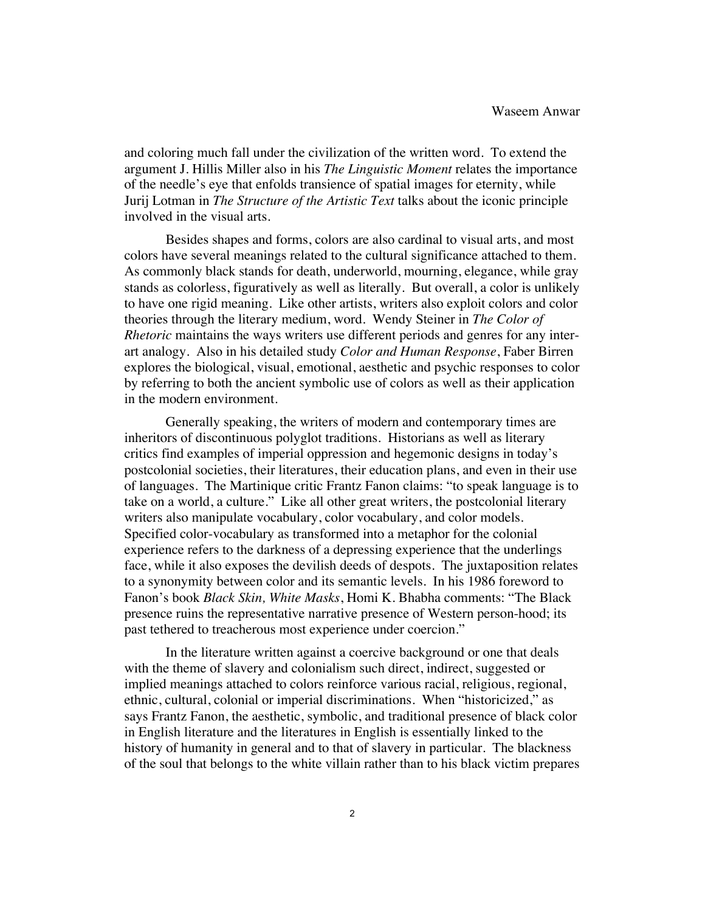and coloring much fall under the civilization of the written word. To extend the argument J. Hillis Miller also in his *The Linguistic Moment* relates the importance of the needle's eye that enfolds transience of spatial images for eternity, while Jurij Lotman in *The Structure of the Artistic Text* talks about the iconic principle involved in the visual arts.

Besides shapes and forms, colors are also cardinal to visual arts, and most colors have several meanings related to the cultural significance attached to them. As commonly black stands for death, underworld, mourning, elegance, while gray stands as colorless, figuratively as well as literally. But overall, a color is unlikely to have one rigid meaning. Like other artists, writers also exploit colors and color theories through the literary medium, word. Wendy Steiner in *The Color of Rhetoric* maintains the ways writers use different periods and genres for any interart analogy. Also in his detailed study *Color and Human Response*, Faber Birren explores the biological, visual, emotional, aesthetic and psychic responses to color by referring to both the ancient symbolic use of colors as well as their application in the modern environment.

Generally speaking, the writers of modern and contemporary times are inheritors of discontinuous polyglot traditions. Historians as well as literary critics find examples of imperial oppression and hegemonic designs in today's postcolonial societies, their literatures, their education plans, and even in their use of languages. The Martinique critic Frantz Fanon claims: "to speak language is to take on a world, a culture." Like all other great writers, the postcolonial literary writers also manipulate vocabulary, color vocabulary, and color models. Specified color-vocabulary as transformed into a metaphor for the colonial experience refers to the darkness of a depressing experience that the underlings face, while it also exposes the devilish deeds of despots. The juxtaposition relates to a synonymity between color and its semantic levels. In his 1986 foreword to Fanon's book *Black Skin, White Masks*, Homi K. Bhabha comments: "The Black presence ruins the representative narrative presence of Western person-hood; its past tethered to treacherous most experience under coercion."

In the literature written against a coercive background or one that deals with the theme of slavery and colonialism such direct, indirect, suggested or implied meanings attached to colors reinforce various racial, religious, regional, ethnic, cultural, colonial or imperial discriminations. When "historicized," as says Frantz Fanon, the aesthetic, symbolic, and traditional presence of black color in English literature and the literatures in English is essentially linked to the history of humanity in general and to that of slavery in particular. The blackness of the soul that belongs to the white villain rather than to his black victim prepares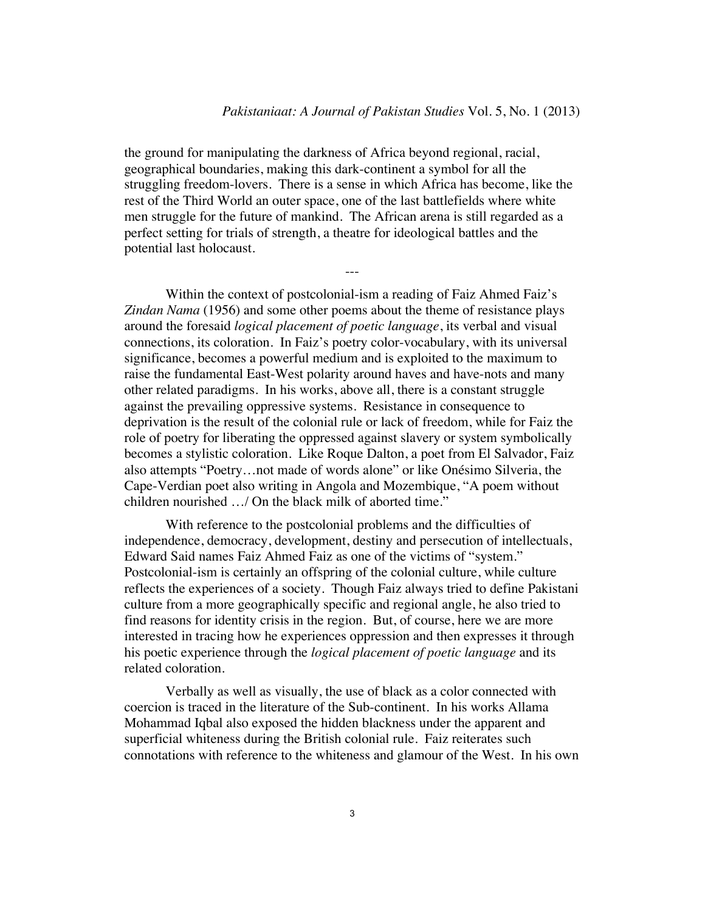the ground for manipulating the darkness of Africa beyond regional, racial, geographical boundaries, making this dark-continent a symbol for all the struggling freedom-lovers. There is a sense in which Africa has become, like the rest of the Third World an outer space, one of the last battlefields where white men struggle for the future of mankind. The African arena is still regarded as a perfect setting for trials of strength, a theatre for ideological battles and the potential last holocaust.

---

Within the context of postcolonial-ism a reading of Faiz Ahmed Faiz's *Zindan Nama* (1956) and some other poems about the theme of resistance plays around the foresaid *logical placement of poetic language*, its verbal and visual connections, its coloration. In Faiz's poetry color-vocabulary, with its universal significance, becomes a powerful medium and is exploited to the maximum to raise the fundamental East-West polarity around haves and have-nots and many other related paradigms. In his works, above all, there is a constant struggle against the prevailing oppressive systems. Resistance in consequence to deprivation is the result of the colonial rule or lack of freedom, while for Faiz the role of poetry for liberating the oppressed against slavery or system symbolically becomes a stylistic coloration. Like Roque Dalton, a poet from El Salvador, Faiz also attempts "Poetry…not made of words alone" or like Onésimo Silveria, the Cape-Verdian poet also writing in Angola and Mozembique, "A poem without children nourished …/ On the black milk of aborted time."

With reference to the postcolonial problems and the difficulties of independence, democracy, development, destiny and persecution of intellectuals, Edward Said names Faiz Ahmed Faiz as one of the victims of "system." Postcolonial-ism is certainly an offspring of the colonial culture, while culture reflects the experiences of a society. Though Faiz always tried to define Pakistani culture from a more geographically specific and regional angle, he also tried to find reasons for identity crisis in the region. But, of course, here we are more interested in tracing how he experiences oppression and then expresses it through his poetic experience through the *logical placement of poetic language* and its related coloration.

Verbally as well as visually, the use of black as a color connected with coercion is traced in the literature of the Sub-continent. In his works Allama Mohammad Iqbal also exposed the hidden blackness under the apparent and superficial whiteness during the British colonial rule. Faiz reiterates such connotations with reference to the whiteness and glamour of the West. In his own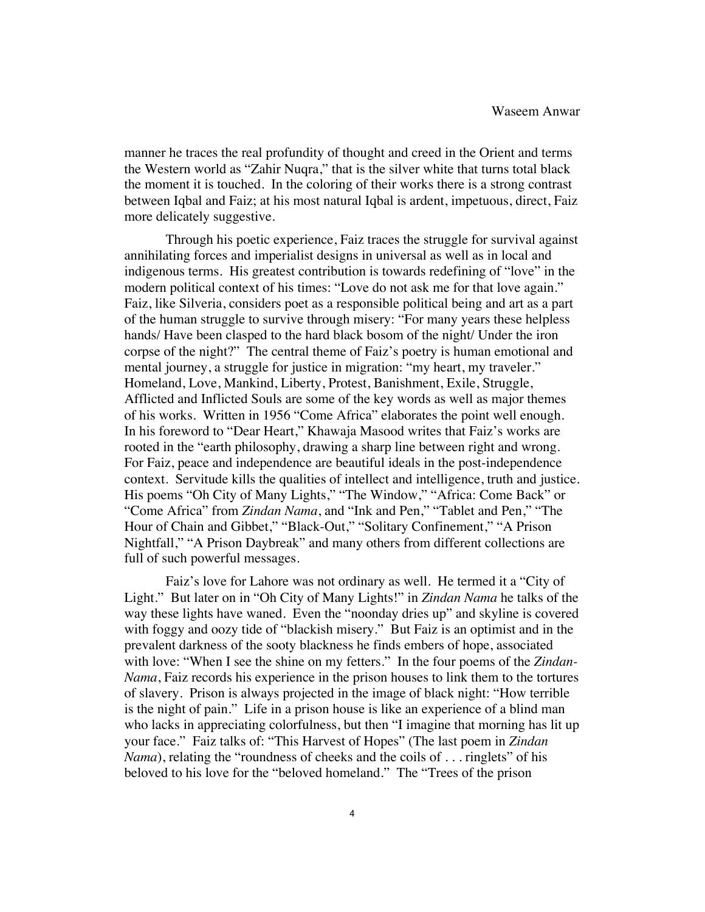manner he traces the real profundity of thought and creed in the Orient and terms the Western world as "Zahir Nuqra," that is the silver white that turns total black the moment it is touched. In the coloring of their works there is a strong contrast between Iqbal and Faiz; at his most natural Iqbal is ardent, impetuous, direct, Faiz more delicately suggestive.

Through his poetic experience, Faiz traces the struggle for survival against annihilating forces and imperialist designs in universal as well as in local and indigenous terms. His greatest contribution is towards redefining of "love" in the modern political context of his times: "Love do not ask me for that love again." Faiz, like Silveria, considers poet as a responsible political being and art as a part of the human struggle to survive through misery: "For many years these helpless hands/ Have been clasped to the hard black bosom of the night/ Under the iron corpse of the night?" The central theme of Faiz's poetry is human emotional and mental journey, a struggle for justice in migration: "my heart, my traveler." Homeland, Love, Mankind, Liberty, Protest, Banishment, Exile, Struggle, Afflicted and Inflicted Souls are some of the key words as well as major themes of his works. Written in 1956 "Come Africa" elaborates the point well enough. In his foreword to "Dear Heart," Khawaja Masood writes that Faiz's works are rooted in the "earth philosophy, drawing a sharp line between right and wrong. For Faiz, peace and independence are beautiful ideals in the post-independence context. Servitude kills the qualities of intellect and intelligence, truth and justice. His poems "Oh City of Many Lights," "The Window," "Africa: Come Back" or "Come Africa" from *Zindan Nama*, and "Ink and Pen," "Tablet and Pen," "The Hour of Chain and Gibbet," "Black-Out," "Solitary Confinement," "A Prison Nightfall," "A Prison Daybreak" and many others from different collections are full of such powerful messages.

Faiz's love for Lahore was not ordinary as well. He termed it a "City of Light." But later on in "Oh City of Many Lights!" in *Zindan Nama* he talks of the way these lights have waned. Even the "noonday dries up" and skyline is covered with foggy and oozy tide of "blackish misery." But Faiz is an optimist and in the prevalent darkness of the sooty blackness he finds embers of hope, associated with love: "When I see the shine on my fetters." In the four poems of the *Zindan-Nama*, Faiz records his experience in the prison houses to link them to the tortures of slavery. Prison is always projected in the image of black night: "How terrible is the night of pain." Life in a prison house is like an experience of a blind man who lacks in appreciating colorfulness, but then "I imagine that morning has lit up your face." Faiz talks of: "This Harvest of Hopes" (The last poem in *Zindan Nama*), relating the "roundness of cheeks and the coils of . . . ringlets" of his beloved to his love for the "beloved homeland." The "Trees of the prison